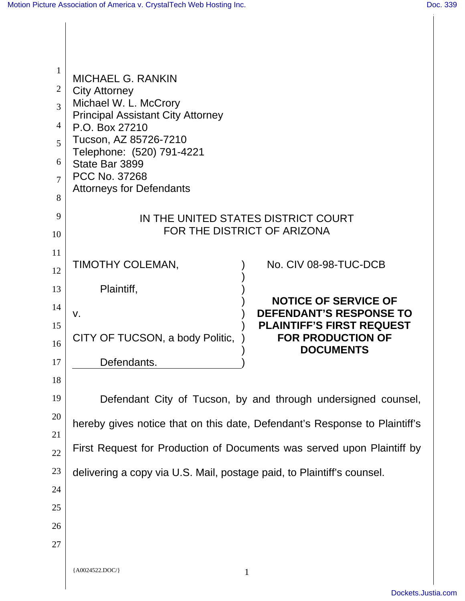| $\mathbf{1}$   | <b>MICHAEL G. RANKIN</b><br><b>City Attorney</b><br>Michael W. L. McCrory  |                                                                    |  |
|----------------|----------------------------------------------------------------------------|--------------------------------------------------------------------|--|
| $\overline{2}$ |                                                                            |                                                                    |  |
| 3              |                                                                            |                                                                    |  |
| $\overline{4}$ | <b>Principal Assistant City Attorney</b><br>P.O. Box 27210                 |                                                                    |  |
| 5              | Tucson, AZ 85726-7210                                                      |                                                                    |  |
| 6              | Telephone: (520) 791-4221<br>State Bar 3899<br><b>PCC No. 37268</b>        |                                                                    |  |
| 7              |                                                                            |                                                                    |  |
| 8              | <b>Attorneys for Defendants</b>                                            |                                                                    |  |
| 9              | IN THE UNITED STATES DISTRICT COURT                                        |                                                                    |  |
| 10             | FOR THE DISTRICT OF ARIZONA                                                |                                                                    |  |
| 11             |                                                                            |                                                                    |  |
| 12             | TIMOTHY COLEMAN,                                                           | No. CIV 08-98-TUC-DCB                                              |  |
| 13             | Plaintiff,                                                                 |                                                                    |  |
| 14             |                                                                            | <b>NOTICE OF SERVICE OF</b>                                        |  |
| 15             | V.                                                                         | <b>DEFENDANT'S RESPONSE TO</b><br><b>PLAINTIFF'S FIRST REQUEST</b> |  |
| 16             | CITY OF TUCSON, a body Politic,                                            | <b>FOR PRODUCTION OF</b>                                           |  |
| 17             | Defendants.                                                                | <b>DOCUMENTS</b>                                                   |  |
| 18             |                                                                            |                                                                    |  |
| 19             | Defendant City of Tucson, by and through undersigned counsel,              |                                                                    |  |
| 20             |                                                                            |                                                                    |  |
| 21             | hereby gives notice that on this date, Defendant's Response to Plaintiff's |                                                                    |  |
| 22             | First Request for Production of Documents was served upon Plaintiff by     |                                                                    |  |
| 23             | delivering a copy via U.S. Mail, postage paid, to Plaintiff's counsel.     |                                                                    |  |
| 24             |                                                                            |                                                                    |  |
| 25             |                                                                            |                                                                    |  |
| 26             |                                                                            |                                                                    |  |
| 27             |                                                                            |                                                                    |  |
|                |                                                                            |                                                                    |  |
|                | {A0024522.DOC/}                                                            |                                                                    |  |